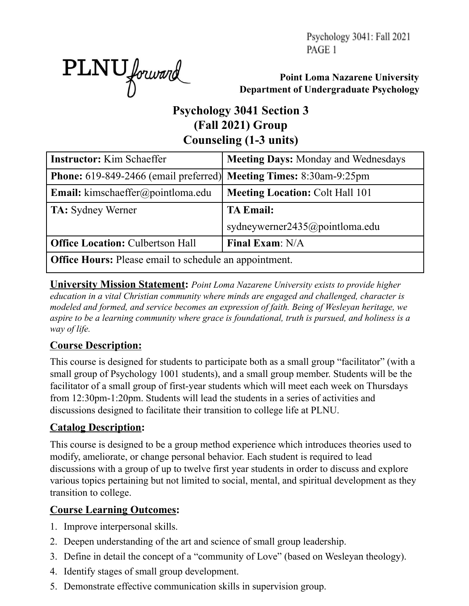Psychology 3041: Fall 2021 PAGE 1



**Point Loma Nazarene University Department of Undergraduate Psychology**

# **Psychology 3041 Section 3 (Fall 2021) Group Counseling (1-3 units)**

| <b>Instructor:</b> Kim Schaeffer                                                 | <b>Meeting Days: Monday and Wednesdays</b> |  |  |  |  |  |  |
|----------------------------------------------------------------------------------|--------------------------------------------|--|--|--|--|--|--|
| <b>Phone:</b> 619-849-2466 (email preferred) <b>Meeting Times:</b> 8:30am-9:25pm |                                            |  |  |  |  |  |  |
| <b>Email:</b> kimschaeffer@pointloma.edu                                         | <b>Meeting Location: Colt Hall 101</b>     |  |  |  |  |  |  |
| <b>TA:</b> Sydney Werner                                                         | <b>TA Email:</b>                           |  |  |  |  |  |  |
|                                                                                  | sydneywerner2435@pointloma.edu             |  |  |  |  |  |  |
| <b>Office Location: Culbertson Hall</b>                                          | Final Exam: N/A                            |  |  |  |  |  |  |
| <b>Office Hours:</b> Please email to schedule an appointment.                    |                                            |  |  |  |  |  |  |

**University Mission Statement:** *Point Loma Nazarene University exists to provide higher education in a vital Christian community where minds are engaged and challenged, character is modeled and formed, and service becomes an expression of faith. Being of Wesleyan heritage, we aspire to be a learning community where grace is foundational, truth is pursued, and holiness is a way of life.*

### **Course Description:**

This course is designed for students to participate both as a small group "facilitator" (with a small group of Psychology 1001 students), and a small group member. Students will be the facilitator of a small group of first-year students which will meet each week on Thursdays from 12:30pm-1:20pm. Students will lead the students in a series of activities and discussions designed to facilitate their transition to college life at PLNU.

### **Catalog Description:**

This course is designed to be a group method experience which introduces theories used to modify, ameliorate, or change personal behavior. Each student is required to lead discussions with a group of up to twelve first year students in order to discuss and explore various topics pertaining but not limited to social, mental, and spiritual development as they transition to college.

## **Course Learning Outcomes:**

- 1. Improve interpersonal skills.
- 2. Deepen understanding of the art and science of small group leadership.
- 3. Define in detail the concept of a "community of Love" (based on Wesleyan theology).
- 4. Identify stages of small group development.
- 5. Demonstrate effective communication skills in supervision group.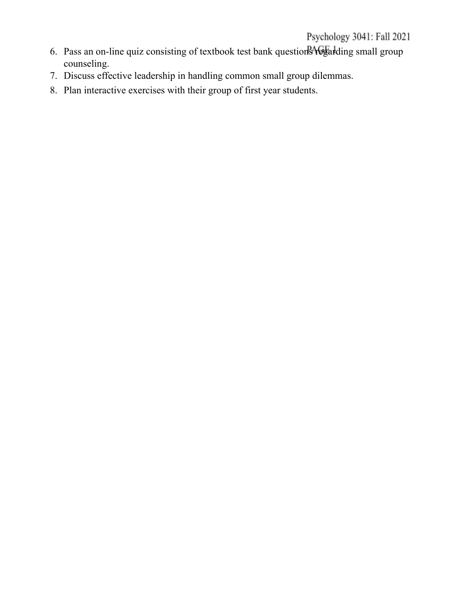# Psychology 3041: Fall 2021

- 6. Pass an on-line quiz consisting of textbook test bank questions regarding small group counseling.
- 7. Discuss effective leadership in handling common small group dilemmas.
- 8. Plan interactive exercises with their group of first year students.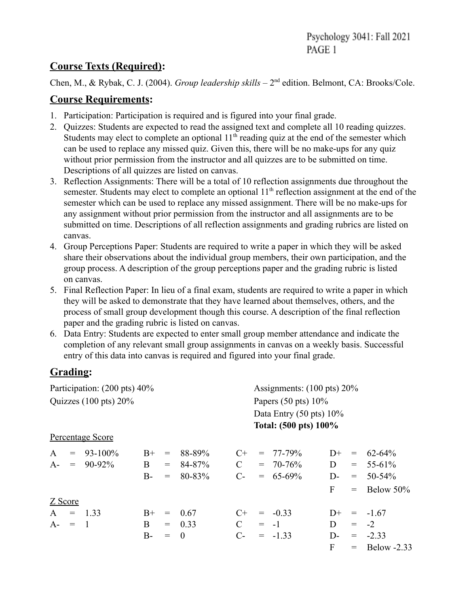#### **Course Texts (Required):**

Chen, M., & Rybak, C. J. (2004). *Group leadership skills* – 2<sup>nd</sup> edition. Belmont, CA: Brooks/Cole.

#### **Course Requirements:**

- 1. Participation: Participation is required and is figured into your final grade.
- 2. Quizzes: Students are expected to read the assigned text and complete all 10 reading quizzes. Students may elect to complete an optional  $11<sup>th</sup>$  reading quiz at the end of the semester which can be used to replace any missed quiz. Given this, there will be no make-ups for any quiz without prior permission from the instructor and all quizzes are to be submitted on time. Descriptions of all quizzes are listed on canvas.
- 3. Reflection Assignments: There will be a total of 10 reflection assignments due throughout the semester. Students may elect to complete an optional 11<sup>th</sup> reflection assignment at the end of the semester which can be used to replace any missed assignment. There will be no make-ups for any assignment without prior permission from the instructor and all assignments are to be submitted on time. Descriptions of all reflection assignments and grading rubrics are listed on canvas.
- 4. Group Perceptions Paper: Students are required to write a paper in which they will be asked share their observations about the individual group members, their own participation, and the group process. A description of the group perceptions paper and the grading rubric is listed on canvas.
- 5. Final Reflection Paper: In lieu of a final exam, students are required to write a paper in which they will be asked to demonstrate that they have learned about themselves, others, and the process of small group development though this course. A description of the final reflection paper and the grading rubric is listed on canvas.
- 6. Data Entry: Students are expected to enter small group member attendance and indicate the completion of any relevant small group assignments in canvas on a weekly basis. Successful entry of this data into canvas is required and figured into your final grade.

## **Grading:**

| Participation: (200 pts) 40%     |                  |              |                                              |          | Assignments: $(100 \text{ pts}) 20\%$ |                                                                                               |               |       |                                              |                 |
|----------------------------------|------------------|--------------|----------------------------------------------|----------|---------------------------------------|-----------------------------------------------------------------------------------------------|---------------|-------|----------------------------------------------|-----------------|
| Quizzes $(100 \text{ pts}) 20\%$ |                  |              |                                              |          |                                       | Papers $(50 \text{ pts}) 10\%$<br>Data Entry $(50 \text{ pts}) 10\%$<br>Total: (500 pts) 100% |               |       |                                              |                 |
|                                  |                  |              |                                              |          |                                       |                                                                                               |               |       |                                              |                 |
|                                  | Percentage Score |              |                                              |          |                                       |                                                                                               |               |       |                                              |                 |
| $\mathbf{A}$<br>$=$              | $93 - 100\%$     | $B+$         | $\qquad \qquad =\qquad \qquad$               | 88-89%   | $C_{\pm}$                             |                                                                                               | $= 77 - 79\%$ | $D+$  | $\displaystyle \qquad \qquad =\qquad \qquad$ | $62 - 64\%$     |
| $A-$<br>$=$                      | 90-92%           | $\mathbf{B}$ | $=$                                          | 84-87%   | $\mathcal{C}$                         |                                                                                               | $= 70 - 76\%$ | D     | $=$ $-$                                      | $55 - 61\%$     |
|                                  |                  | $B-$         | $=$                                          | 80-83%   | $C$ -                                 |                                                                                               | $= 65-69\%$   | $D$ - | $=$                                          | $50 - 54\%$     |
|                                  |                  |              |                                              |          |                                       |                                                                                               |               | F     | $=$                                          | Below 50%       |
| Z Score                          |                  |              |                                              |          |                                       |                                                                                               |               |       |                                              |                 |
| $\mathbf{A}$                     | $=$ 1.33         | $B+$         | $\displaystyle \qquad \qquad =\qquad \qquad$ | 0.67     | $C+$                                  |                                                                                               | $= -0.33$     | $D+$  | $\qquad \qquad =$                            | $-1.67$         |
| $A - = 1$                        |                  | B            |                                              | $= 0.33$ | $\mathcal{C}$                         |                                                                                               | $= -1$        | D     |                                              | $= -2$          |
|                                  |                  | $B-$         | $\!\!\!=\!\!\!$                              | $\theta$ | $C-$                                  |                                                                                               | $= -1.33$     | $D$ - |                                              | $= -2.33$       |
|                                  |                  |              |                                              |          |                                       |                                                                                               |               | F     |                                              | $=$ Below -2.33 |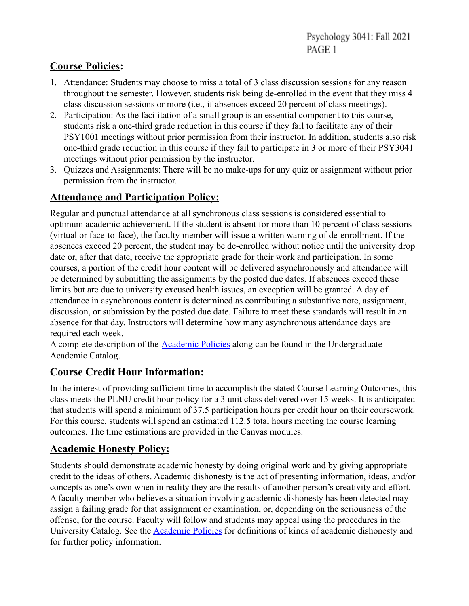## **Course Policies:**

- 1. Attendance: Students may choose to miss a total of 3 class discussion sessions for any reason throughout the semester. However, students risk being de-enrolled in the event that they miss 4 class discussion sessions or more (i.e., if absences exceed 20 percent of class meetings).
- 2. Participation: As the facilitation of a small group is an essential component to this course, students risk a one-third grade reduction in this course if they fail to facilitate any of their PSY1001 meetings without prior permission from their instructor. In addition, students also risk one-third grade reduction in this course if they fail to participate in 3 or more of their PSY3041 meetings without prior permission by the instructor.
- 3. Quizzes and Assignments: There will be no make-ups for any quiz or assignment without prior permission from the instructor.

## **Attendance and Participation Policy:**

Regular and punctual attendance at all synchronous class sessions is considered essential to optimum academic achievement. If the student is absent for more than 10 percent of class sessions (virtual or face-to-face), the faculty member will issue a written warning of de-enrollment. If the absences exceed 20 percent, the student may be de-enrolled without notice until the university drop date or, after that date, receive the appropriate grade for their work and participation. In some courses, a portion of the credit hour content will be delivered asynchronously and attendance will be determined by submitting the assignments by the posted due dates. If absences exceed these limits but are due to university excused health issues, an exception will be granted. A day of attendance in asynchronous content is determined as contributing a substantive note, assignment, discussion, or submission by the posted due date. Failure to meet these standards will result in an absence for that day. Instructors will determine how many asynchronous attendance days are required each week.

A complete description of the **Academic Policies** along can be found in the Undergraduate Academic Catalog.

### **Course Credit Hour Information:**

In the interest of providing sufficient time to accomplish the stated Course Learning Outcomes, this class meets the PLNU credit hour policy for a 3 unit class delivered over 15 weeks. It is anticipated that students will spend a minimum of 37.5 participation hours per credit hour on their coursework. For this course, students will spend an estimated 112.5 total hours meeting the course learning outcomes. The time estimations are provided in the Canvas modules.

### **Academic Honesty Policy:**

Students should demonstrate academic honesty by doing original work and by giving appropriate credit to the ideas of others. Academic dishonesty is the act of presenting information, ideas, and/or concepts as one's own when in reality they are the results of another person's creativity and effort. A faculty member who believes a situation involving academic dishonesty has been detected may assign a failing grade for that assignment or examination, or, depending on the seriousness of the offense, for the course. Faculty will follow and students may appeal using the procedures in the University Catalog. See the Academic Policies for definitions of kinds of academic dishonesty and for further policy information.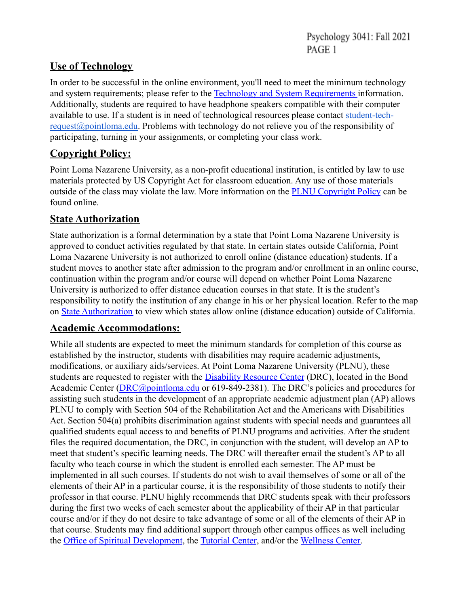### **Use of Technology**

In order to be successful in the online environment, you'll need to meet the minimum technology and system requirements; please refer to the Technology and System Requirements information. Additionally, students are required to have headphone speakers compatible with their computer available to use. If a student is in need of technological resources please contact student-tech[request@pointloma.edu.](mailto:request@pointloma.edu) Problems with technology do not relieve you of the responsibility of participating, turning in your assignments, or completing your class work.

## **Copyright Policy:**

Point Loma Nazarene University, as a non-profit educational institution, is entitled by law to use materials protected by US Copyright Act for classroom education. Any use of those materials outside of the class may violate the law. More information on the PLNU Copyright Policy can be found online.

## **State Authorization**

State authorization is a formal determination by a state that Point Loma Nazarene University is approved to conduct activities regulated by that state. In certain states outside California, Point Loma Nazarene University is not authorized to enroll online (distance education) students. If a student moves to another state after admission to the program and/or enrollment in an online course, continuation within the program and/or course will depend on whether Point Loma Nazarene University is authorized to offer distance education courses in that state. It is the student's responsibility to notify the institution of any change in his or her physical location. Refer to the map on State Authorization to view which states allow online (distance education) outside of California.

### **Academic Accommodations:**

While all students are expected to meet the minimum standards for completion of this course as established by the instructor, students with disabilities may require academic adjustments, modifications, or auxiliary aids/services. At Point Loma Nazarene University (PLNU), these students are requested to register with the Disability Resource Center (DRC), located in the Bond Academic Center (DRC@pointloma.edu or 619-849-2381). The DRC's policies and procedures for assisting such students in the development of an appropriate academic adjustment plan (AP) allows PLNU to comply with Section 504 of the Rehabilitation Act and the Americans with Disabilities Act. Section 504(a) prohibits discrimination against students with special needs and guarantees all qualified students equal access to and benefits of PLNU programs and activities. After the student files the required documentation, the DRC, in conjunction with the student, will develop an AP to meet that student's specific learning needs. The DRC will thereafter email the student's AP to all faculty who teach course in which the student is enrolled each semester. The AP must be implemented in all such courses. If students do not wish to avail themselves of some or all of the elements of their AP in a particular course, it is the responsibility of those students to notify their professor in that course. PLNU highly recommends that DRC students speak with their professors during the first two weeks of each semester about the applicability of their AP in that particular course and/or if they do not desire to take advantage of some or all of the elements of their AP in that course. Students may find additional support through other campus offices as well including the Office of Spiritual Development, the Tutorial Center, and/or the Wellness Center.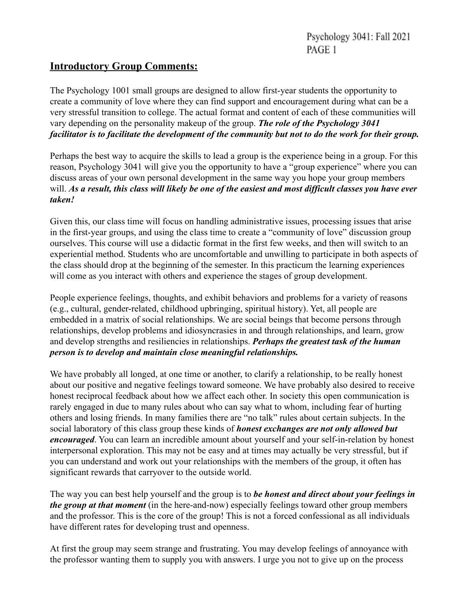#### **Introductory Group Comments:**

The Psychology 1001 small groups are designed to allow first-year students the opportunity to create a community of love where they can find support and encouragement during what can be a very stressful transition to college. The actual format and content of each of these communities will vary depending on the personality makeup of the group. *The role of the Psychology 3041 facilitator is to facilitate the development of the community but not to do the work for their group.*

Perhaps the best way to acquire the skills to lead a group is the experience being in a group. For this reason, Psychology 3041 will give you the opportunity to have a "group experience" where you can discuss areas of your own personal development in the same way you hope your group members will. *As a result, this class will likely be one of the easiest and most difficult classes you have ever taken!*

Given this, our class time will focus on handling administrative issues, processing issues that arise in the first-year groups, and using the class time to create a "community of love" discussion group ourselves. This course will use a didactic format in the first few weeks, and then will switch to an experiential method. Students who are uncomfortable and unwilling to participate in both aspects of the class should drop at the beginning of the semester. In this practicum the learning experiences will come as you interact with others and experience the stages of group development.

People experience feelings, thoughts, and exhibit behaviors and problems for a variety of reasons (e.g., cultural, gender-related, childhood upbringing, spiritual history). Yet, all people are embedded in a matrix of social relationships. We are social beings that become persons through relationships, develop problems and idiosyncrasies in and through relationships, and learn, grow and develop strengths and resiliencies in relationships. *Perhaps the greatest task of the human person is to develop and maintain close meaningful relationships.*

We have probably all longed, at one time or another, to clarify a relationship, to be really honest about our positive and negative feelings toward someone. We have probably also desired to receive honest reciprocal feedback about how we affect each other. In society this open communication is rarely engaged in due to many rules about who can say what to whom, including fear of hurting others and losing friends. In many families there are "no talk" rules about certain subjects. In the social laboratory of this class group these kinds of *honest exchanges are not only allowed but encouraged*. You can learn an incredible amount about yourself and your self-in-relation by honest interpersonal exploration. This may not be easy and at times may actually be very stressful, but if you can understand and work out your relationships with the members of the group, it often has significant rewards that carryover to the outside world.

The way you can best help yourself and the group is to *be honest and direct about your feelings in the group at that moment* (in the here-and-now) especially feelings toward other group members and the professor. This is the core of the group! This is not a forced confessional as all individuals have different rates for developing trust and openness.

At first the group may seem strange and frustrating. You may develop feelings of annoyance with the professor wanting them to supply you with answers. I urge you not to give up on the process